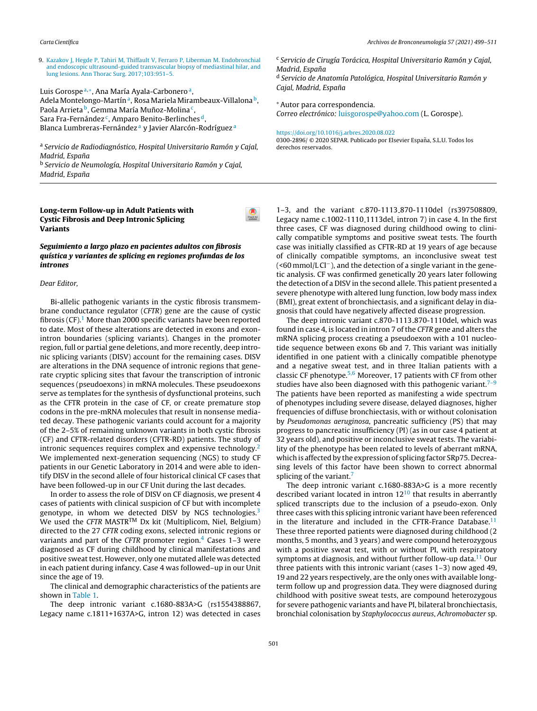9. [Kazakov](http://refhub.elsevier.com/S0300-2896(20)30307-0/sbref0090) [J,](http://refhub.elsevier.com/S0300-2896(20)30307-0/sbref0090) [Hegde](http://refhub.elsevier.com/S0300-2896(20)30307-0/sbref0090) [P,](http://refhub.elsevier.com/S0300-2896(20)30307-0/sbref0090) [Tahiri](http://refhub.elsevier.com/S0300-2896(20)30307-0/sbref0090) [M,](http://refhub.elsevier.com/S0300-2896(20)30307-0/sbref0090) [Thiffault](http://refhub.elsevier.com/S0300-2896(20)30307-0/sbref0090) [V,](http://refhub.elsevier.com/S0300-2896(20)30307-0/sbref0090) [Ferraro](http://refhub.elsevier.com/S0300-2896(20)30307-0/sbref0090) [P,](http://refhub.elsevier.com/S0300-2896(20)30307-0/sbref0090) [Liberman](http://refhub.elsevier.com/S0300-2896(20)30307-0/sbref0090) [M.](http://refhub.elsevier.com/S0300-2896(20)30307-0/sbref0090) [Endobronchial](http://refhub.elsevier.com/S0300-2896(20)30307-0/sbref0090) [and](http://refhub.elsevier.com/S0300-2896(20)30307-0/sbref0090) [endoscopic](http://refhub.elsevier.com/S0300-2896(20)30307-0/sbref0090) [ultrasound-guided](http://refhub.elsevier.com/S0300-2896(20)30307-0/sbref0090) [transvascular](http://refhub.elsevier.com/S0300-2896(20)30307-0/sbref0090) [biopsy](http://refhub.elsevier.com/S0300-2896(20)30307-0/sbref0090) [of](http://refhub.elsevier.com/S0300-2896(20)30307-0/sbref0090) [mediastinal](http://refhub.elsevier.com/S0300-2896(20)30307-0/sbref0090) [hilar,](http://refhub.elsevier.com/S0300-2896(20)30307-0/sbref0090) [and](http://refhub.elsevier.com/S0300-2896(20)30307-0/sbref0090) [lung](http://refhub.elsevier.com/S0300-2896(20)30307-0/sbref0090) [lesions.](http://refhub.elsevier.com/S0300-2896(20)30307-0/sbref0090) [Ann](http://refhub.elsevier.com/S0300-2896(20)30307-0/sbref0090) [Thorac](http://refhub.elsevier.com/S0300-2896(20)30307-0/sbref0090) [Surg.](http://refhub.elsevier.com/S0300-2896(20)30307-0/sbref0090) [2017;103:951](http://refhub.elsevier.com/S0300-2896(20)30307-0/sbref0090)–[5.](http://refhub.elsevier.com/S0300-2896(20)30307-0/sbref0090)

Luis Gorospe<sup>a,\*</sup>, Ana María Ayala-Carbonero<sup>a</sup>, Adela Montelongo-Martína, Rosa Mariela Mirambeaux-Villalona b, Paola Arrieta <sup>b</sup>, Gemma María Muñoz-Molina <sup>c</sup>, Sara Fra-Fernández <sup>c</sup>, Amparo Benito-Berlinches <sup>d</sup>, Blanca Lumbreras-Fernández<sup>a</sup> y Javier Alarcón-Rodríguez<sup>a</sup>

<sup>a</sup> Servicio de Radiodiagnóstico, Hospital Universitario Ramón y Cajal, Madrid, España

<sup>b</sup> Servicio de Neumología, Hospital Universitario Ramón y Cajal, Madrid, España

# Long-term Follow-up in Adult Patients with Cystic Fibrosis and Deep Intronic Splicing Variants

# Seguimiento a largo plazo en pacientes adultos con fibrosis quística y variantes de splicing en regiones profundas de los intrones

### Dear Editor,

Bi-allelic pathogenic variants in the cystic fibrosis transmembrane conductance regulator (CFTR) gene are the cause of cystic fibrosis  $(CF)$ <sup>[1](#page-1-0)</sup>. More than 2000 specific variants have been reported to date. Most of these alterations are detected in exons and exonintron boundaries (splicing variants). Changes in the promoter region, full or partial gene deletions, and more recently, deep intronic splicing variants (DISV) account for the remaining cases. DISV are alterations in the DNA sequence of intronic regions that generate cryptic splicing sites that favour the transcription of intronic sequences (pseudoexons) in mRNA molecules. These pseudoexons serve as templates for the synthesis of dysfunctional proteins, such as the CFTR protein in the case of CF, or create premature stop codons in the pre-mRNA molecules that result in nonsense mediated decay. These pathogenic variants could account for a majority of the 2–5% of remaining unknown variants in both cystic fibrosis (CF) and CFTR-related disorders (CFTR-RD) patients. The study of intronic sequences requires complex and expensive technology.<sup>[2](#page-1-0)</sup> We implemented next-generation sequencing (NGS) to study CF patients in our Genetic Laboratory in 2014 and were able to identify DISV in the second allele of four historical clinical CF cases that have been followed-up in our CF Unit during the last decades.

In order to assess the role of DISV on CF diagnosis, we present 4 cases of patients with clinical suspicion of CF but with incomplete genotype, in whom we detected DISV by NGS technologies. $3$ We used the CFTR MASTR™ Dx kit (Multiplicom, Niel, Belgium) directed to the 27 CFTR coding exons, selected intronic regions or variants and part of the CFTR promoter region. $4$  Cases 1–3 were diagnosed as CF during childhood by clinical manifestations and positive sweat test. However, only one mutated allele was detected in each patient during infancy. Case 4 was followed–up in our Unit since the age of 19.

The clinical and demographic characteristics of the patients are shown in [Table](#page-1-0) 1.

The deep intronic variant c.1680-883A>G (rs1554388867, Legacy name c.1811+1637A>G, intron 12) was detected in cases

<sup>c</sup> Servicio de Cirugía Torácica, Hospital Universitario Ramón y Cajal, Madrid, España

<sup>d</sup> Servicio de Anatomía Patológica, Hospital Universitario Ramón y Cajal, Madrid, España

## <sup>∗</sup> Autor para correspondencia.

Correo [electrónico:](http://www.archbronconeumol.org) [luisgorospe@yahoo.com](mailto:luisgorospe@yahoo.com) (L. Gorospe).

#### <https://doi.org/10.1016/j.arbres.2020.08.022>

0300-2896/ © 2020 SEPAR. Publicado por Elsevier España, S.L.U. Todos los derechos reservados.

1–3, and the variant c.870-1113 870-1110del (rs397508809, Legacy name c.1002-1110 1113del, intron 7) in case 4. In the first three cases, CF was diagnosed during childhood owing to clinically compatible symptoms and positive sweat tests. The fourth case was initially classified as CFTR-RD at 19 years of age because of clinically compatible symptoms, an inconclusive sweat test (<60 mmol/L Cl−), and the detection of a single variant in the genetic analysis. CF was confirmed genetically 20 years later following the detection of a DISV in the second allele. This patient presented a severe phenotype with altered lung function, low body mass index (BMI), great extent of bronchiectasis, and a significant delay in diagnosis that could have negatively affected disease progression.

The deep intronic variant c.870-1113 870-1110del, which was found in case 4, is located in intron 7 of the CFTR gene and alters the mRNA splicing process creating a pseudoexon with a 101 nucleotide sequence between exons 6b and 7. This variant was initially identified in one patient with a clinically compatible phenotype and a negative sweat test, and in three Italian patients with a classic CF phenotype. $5,6$  Moreover, 17 patients with CF from other studies have also been diagnosed with this pathogenic variant.<sup>[7–9](#page-1-0)</sup> The patients have been reported as manifesting a wide spectrum of phenotypes including severe disease, delayed diagnoses, higher frequencies of diffuse bronchiectasis, with or without colonisation by Pseudomonas aeruginosa, pancreatic sufficiency (PS) that may progress to pancreatic insufficiency (PI) (as in our case 4 patient at 32 years old), and positive or inconclusive sweat tests. The variability of the phenotype has been related to levels of aberrant mRNA, which is affected by the expression of splicing factor SRp75. Decreasing levels of this factor have been shown to correct abnormal splicing of the variant.<sup>[7](#page-1-0)</sup>

The deep intronic variant c.1680-883A>G is a more recently described variant located in intron  $12^{10}$  $12^{10}$  $12^{10}$  that results in aberrantly s[pliced](http://refhub.elsevier.com/S0300-2896(20)30307-0/sbref0050) t[ranscripts](http://refhub.elsevier.com/S0300-2896(20)30307-0/sbref0050) [du](http://refhub.elsevier.com/S0300-2896(20)30307-0/sbref0050)e to [the](http://refhub.elsevier.com/S0300-2896(20)30307-0/sbref0050) inc[lusion](http://refhub.elsevier.com/S0300-2896(20)30307-0/sbref0050) [of](http://refhub.elsevier.com/S0300-2896(20)30307-0/sbref0050) a [pseudo-exon.](http://refhub.elsevier.com/S0300-2896(20)30307-0/sbref0050) [Only](http://refhub.elsevier.com/S0300-2896(20)30307-0/sbref0050) three [cases](http://refhub.elsevier.com/S0300-2896(20)30307-0/sbref0050) [with](http://refhub.elsevier.com/S0300-2896(20)30307-0/sbref0050) [this](http://refhub.elsevier.com/S0300-2896(20)30307-0/sbref0050) s[plicing](http://refhub.elsevier.com/S0300-2896(20)30307-0/sbref0050) [intron](http://refhub.elsevier.com/S0300-2896(20)30307-0/sbref0050)i[c](http://refhub.elsevier.com/S0300-2896(20)30307-0/sbref0050) [varia](http://refhub.elsevier.com/S0300-2896(20)30307-0/sbref0050)nt [hav](http://refhub.elsevier.com/S0300-2896(20)30307-0/sbref0050)e [been](http://refhub.elsevier.com/S0300-2896(20)30307-0/sbref0050) re[ferenced](http://refhub.elsevier.com/S0300-2896(20)30307-0/sbref0050) in the [literatur](http://refhub.elsevier.com/S0300-2896(20)30307-0/sbref0050)e and included in the CFTR-France Database.<sup>[11](#page-2-0)</sup> T[hese](http://refhub.elsevier.com/S0300-2896(20)30307-0/sbref0055) [three](http://refhub.elsevier.com/S0300-2896(20)30307-0/sbref0055) [reporte](http://refhub.elsevier.com/S0300-2896(20)30307-0/sbref0055)d [patien](http://refhub.elsevier.com/S0300-2896(20)30307-0/sbref0055)ts [wer](http://refhub.elsevier.com/S0300-2896(20)30307-0/sbref0055)e [diagnose](http://refhub.elsevier.com/S0300-2896(20)30307-0/sbref0055)d [during](http://refhub.elsevier.com/S0300-2896(20)30307-0/sbref0055) [childhood](http://refhub.elsevier.com/S0300-2896(20)30307-0/sbref0055) ([2](http://refhub.elsevier.com/S0300-2896(20)30307-0/sbref0055) [months,](http://refhub.elsevier.com/S0300-2896(20)30307-0/sbref0060) [5](http://refhub.elsevier.com/S0300-2896(20)30307-0/sbref0060) [m](http://refhub.elsevier.com/S0300-2896(20)30307-0/sbref0055)[o](http://refhub.elsevier.com/S0300-2896(20)30307-0/sbref0060)[n](http://refhub.elsevier.com/S0300-2896(20)30307-0/sbref0055)[ths,](http://refhub.elsevier.com/S0300-2896(20)30307-0/sbref0060) [an](http://refhub.elsevier.com/S0300-2896(20)30307-0/sbref0060)d [3](http://refhub.elsevier.com/S0300-2896(20)30307-0/sbref0060) [years\)](http://refhub.elsevier.com/S0300-2896(20)30307-0/sbref0060) [and](http://refhub.elsevier.com/S0300-2896(20)30307-0/sbref0060) [were](http://refhub.elsevier.com/S0300-2896(20)30307-0/sbref0060) [compound](http://refhub.elsevier.com/S0300-2896(20)30307-0/sbref0060) h[eterozygous](http://refhub.elsevier.com/S0300-2896(20)30307-0/sbref0060) w[ith](http://refhub.elsevier.com/S0300-2896(20)30307-0/sbref0060) a [positive](http://refhub.elsevier.com/S0300-2896(20)30307-0/sbref0060) sweat [test,](http://refhub.elsevier.com/S0300-2896(20)30307-0/sbref0060) [with](http://refhub.elsevier.com/S0300-2896(20)30307-0/sbref0060) or [without](http://refhub.elsevier.com/S0300-2896(20)30307-0/sbref0060) PI, [with](http://refhub.elsevier.com/S0300-2896(20)30307-0/sbref0060) res[piratory](http://refhub.elsevier.com/S0300-2896(20)30307-0/sbref0060) s[ymptoms](http://refhub.elsevier.com/S0300-2896(20)30307-0/sbref0060) at [diagnosis](http://refhub.elsevier.com/S0300-2896(20)30307-0/sbref0060), [and](http://refhub.elsevier.com/S0300-2896(20)30307-0/sbref0060) wit[hou](http://refhub.elsevier.com/S0300-2896(20)30307-0/sbref0060)t [furth](http://refhub.elsevier.com/S0300-2896(20)30307-0/sbref0060)er [follow-up](http://refhub.elsevier.com/S0300-2896(20)30307-0/sbref0060) data.<sup>[11](#page-2-0)</sup> [Our](http://refhub.elsevier.com/S0300-2896(20)30307-0/sbref0060) t[hree](http://refhub.elsevier.com/S0300-2896(20)30307-0/sbref0065) [pat](http://refhub.elsevier.com/S0300-2896(20)30307-0/sbref0060)[ie](http://refhub.elsevier.com/S0300-2896(20)30307-0/sbref0065)[nts](http://refhub.elsevier.com/S0300-2896(20)30307-0/sbref0060) [wi](http://refhub.elsevier.com/S0300-2896(20)30307-0/sbref0065)[th](http://refhub.elsevier.com/S0300-2896(20)30307-0/sbref0060) this [intronic](http://refhub.elsevier.com/S0300-2896(20)30307-0/sbref0060) [vari](http://refhub.elsevier.com/S0300-2896(20)30307-0/sbref0065)ant [\(cases](http://refhub.elsevier.com/S0300-2896(20)30307-0/sbref0065) [1–3\)](http://refhub.elsevier.com/S0300-2896(20)30307-0/sbref0065) no[w](http://refhub.elsevier.com/S0300-2896(20)30307-0/sbref0065) [aged](http://refhub.elsevier.com/S0300-2896(20)30307-0/sbref0065) 49, 19 [and](http://refhub.elsevier.com/S0300-2896(20)30307-0/sbref0065) 22 [years](http://refhub.elsevier.com/S0300-2896(20)30307-0/sbref0065) [respectively,](http://refhub.elsevier.com/S0300-2896(20)30307-0/sbref0065) are the [on](http://refhub.elsevier.com/S0300-2896(20)30307-0/sbref0065)ly ones with available longt[erm](http://refhub.elsevier.com/S0300-2896(20)30307-0/sbref0070) f[ollow](http://refhub.elsevier.com/S0300-2896(20)30307-0/sbref0070) up [an](http://refhub.elsevier.com/S0300-2896(20)30307-0/sbref0070)d [progression](http://refhub.elsevier.com/S0300-2896(20)30307-0/sbref0070) [data](http://refhub.elsevier.com/S0300-2896(20)30307-0/sbref0070). [They](http://refhub.elsevier.com/S0300-2896(20)30307-0/sbref0070) [were](http://refhub.elsevier.com/S0300-2896(20)30307-0/sbref0070) [diagnosed](http://refhub.elsevier.com/S0300-2896(20)30307-0/sbref0070) [during](http://refhub.elsevier.com/S0300-2896(20)30307-0/sbref0070) c[hildhood](http://refhub.elsevier.com/S0300-2896(20)30307-0/sbref0070) [with](http://refhub.elsevier.com/S0300-2896(20)30307-0/sbref0070) [positive](http://refhub.elsevier.com/S0300-2896(20)30307-0/sbref0070) [sweat](http://refhub.elsevier.com/S0300-2896(20)30307-0/sbref0070) [tests,](http://refhub.elsevier.com/S0300-2896(20)30307-0/sbref0070) are [compound](http://refhub.elsevier.com/S0300-2896(20)30307-0/sbref0070) [heterozygous](http://refhub.elsevier.com/S0300-2896(20)30307-0/sbref0070) for [severe](http://refhub.elsevier.com/S0300-2896(20)30307-0/sbref0075) [pathogen](http://refhub.elsevier.com/S0300-2896(20)30307-0/sbref0075)ic [variants](http://refhub.elsevier.com/S0300-2896(20)30307-0/sbref0075) and [have](http://refhub.elsevier.com/S0300-2896(20)30307-0/sbref0075) PI, [bilatera](http://refhub.elsevier.com/S0300-2896(20)30307-0/sbref0075)l [bronchiectasis,](http://refhub.elsevier.com/S0300-2896(20)30307-0/sbref0075) b[ronchi](http://refhub.elsevier.com/S0300-2896(20)30307-0/sbref0075)al [colonisation](http://refhub.elsevier.com/S0300-2896(20)30307-0/sbref0075) by [Staphylococcus](http://refhub.elsevier.com/S0300-2896(20)30307-0/sbref0075) aureus, [Achromobacter](http://refhub.elsevier.com/S0300-2896(20)30307-0/sbref0075) [sp.](http://refhub.elsevier.com/S0300-2896(20)30307-0/sbref0075)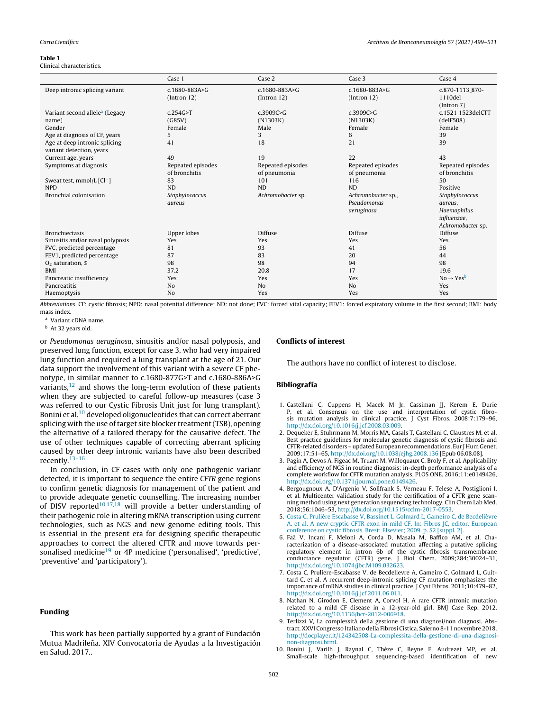#### <span id="page-1-0"></span>Table 1

## Clinical characteristics.

|                                            | Case 1             | Case 2              | Case 3              | Case 4                         |
|--------------------------------------------|--------------------|---------------------|---------------------|--------------------------------|
| Deep intronic splicing variant             | c.1680-883A>G      | $c.1680 - 883A > G$ | $c.1680 - 883A > G$ | c.870-1113 <sub>-870</sub> -   |
|                                            | [Intron 12]        | [Intron 12]         | [Intron 12]         | 1110del                        |
|                                            |                    |                     |                     | (Intron 7)                     |
| Variant second allele <sup>a</sup> (Legacy | c.254G > T         | c.3909C > G         | c.3909C>G           | c.1521 <sub>-1523</sub> delCTT |
| name)                                      | (G85V)             | (N1303K)            | (N1303K)            | (delF508)                      |
| Gender                                     | Female             | Male                | Female              | Female                         |
| Age at diagnosis of CF, years              | 5                  | 3                   | 6                   | 39                             |
| Age at deep intronic splicing              | 41                 | 18                  | 21                  | 39                             |
| variant detection, years                   |                    |                     |                     |                                |
| Current age, years                         | 49                 | 19                  | 22                  | 43                             |
| Symptoms at diagnosis                      | Repeated episodes  | Repeated episodes   | Repeated episodes   | Repeated episodes              |
|                                            | of bronchitis      | of pneumonia        | of pneumonia        | of bronchitis                  |
| Sweat test, mmol/L [Cl <sup>-</sup> ]      | 83                 | 101                 | 116                 | 50                             |
| <b>NPD</b>                                 | <b>ND</b>          | <b>ND</b>           | <b>ND</b>           | Positive                       |
| <b>Bronchial colonisation</b>              | Staphylococcus     | Achromobacter sp.   | Achromobacter sp.,  | Staphylococcus                 |
|                                            | aureus             |                     | Pseudomonas         | aureus,                        |
|                                            |                    |                     | aeruginosa          | Haemophilus                    |
|                                            |                    |                     |                     | influenzae,                    |
|                                            |                    |                     |                     | Achromobacter sp.              |
| <b>Bronchiectasis</b>                      | <b>Upper lobes</b> | Diffuse             | Diffuse             | Diffuse                        |
| Sinusitis and/or nasal polyposis           | Yes                | Yes                 | Yes                 | Yes                            |
| FVC, predicted percentage                  | 81                 | 93                  | 41                  | 56                             |
| FEV1, predicted percentage                 | 87                 | 83                  | 20                  | 44                             |
| $O2$ saturation, %                         | 98                 | 98                  | 94                  | 98                             |
| <b>BMI</b>                                 | 37.2               | 20.8                | 17                  | 19.6                           |
| Pancreatic insufficiency                   | Yes                | Yes                 | Yes                 | $No \rightarrow Yes^b$         |
| Pancreatitis                               | N <sub>o</sub>     | N <sub>o</sub>      | N <sub>o</sub>      | Yes                            |
| Haemoptysis                                | N <sub>o</sub>     | Yes                 | Yes                 | Yes                            |

Abbreviations. CF: cystic fibrosis; NPD: nasal potential difference; ND: not done; FVC: forced vital capacity; FEV1: forced expiratory volume in the first second; BMI: body mass index.

<sup>a</sup> Variant cDNA name.

<sup>b</sup> At 32 years old.

or Pseudomonas aeruginosa, sinusitis and/or nasal polyposis, and preserved lung function, except for case 3, who had very impaired lung function and required a lung transplant at the age of 21. Our data support the involvement of this variant with a severe CF phenotype, in similar manner to c.1680-877G>T and c.1680-886A>G variants, $12$  and shows the long-term evolution of these patients when they are subjected to careful follow-up measures (case 3 was referred to our Cystic Fibrosis Unit just for lung transplant). Bonini et al.<sup>10</sup> developed oligonucleotides that can correct aberrant splicing with the use of target site blocker treatment (TSB), opening the alternative of a tailored therapy for the causative defect. The use of other techniques capable of correcting aberrant splicing caused by other deep intronic variants have also been described recently.[13–16](#page-2-0)

In conclusion, in CF cases with only one pathogenic variant detected, it is important to sequence the entire CFTR gene regions to confirm genetic diagnosis for management of the patient and to provide adequate genetic counselling. The increasing number of DISV reported<sup>10,17,18</sup> will provide a better understanding of their pathogenic role in altering mRNA transcription using current technologies, such as NGS and new genome editing tools. This is essential in the present era for designing specific therapeutic approaches to correct the altered CFTR and move towards per-sonalised medicine<sup>[19](#page-2-0)</sup> or 4P medicine ('personalised', 'predictive', 'preventive' and 'participatory').

## Funding

This work has been partially supported by a grant of Fundación Mutua Madrileña. XIV Convocatoria de Ayudas a la Investigación en Salud. 2017..

### Conflicts of interest

The authors have no conflict of interest to disclose.

#### Bibliografía

- 1. Castellani C, Cuppens H, Macek M Jr, Cassiman JJ, Kerem E, Durie P, et al. Consensus on the use and interpretation of cystic fibrosis mutation analysis in clinical practice. J Cyst Fibros. 2008;7:179–96, [http://dx.doi.org/10.1016/j.jcf.2008.03.009](dx.doi.org/10.1016/j.jcf.2008.03.009).
- 2. Dequeker E, Stuhrmann M, Morris MA, Casals T, Castellani C, Claustres M, et al. Best practice guidelines for molecular genetic diagnosis of cystic fibrosis and CFTR-related disorders – updated European recommendations. Eur J HumGenet. 2009;17:51–65, [http://dx.doi.org/10.1038/ejhg.2008.136](dx.doi.org/10.1038/ejhg.2008.136) [Epub 06.08.08].
- 3. Pagin A, Devos A, Figeac M, Truant M, Willoquaux C, Broly F, et al. Applicability and efficiency of NGS in routine diagnosis: in-depth performance analysis of a complete workflow for CFTR mutation analysis. PLOS ONE. 2016;11:e0149426, [http://dx.doi.org/10.1371/journal.pone.0149426](dx.doi.org/10.1371/journal.pone.0149426).
- 4. Bergougnoux A, D'Argenio V, Sollfrank S, Verneau F, Telese A, Postiglioni I, et al. Multicenter validation study for the certification of a CFTR gene scanning method using next generation sequencing technology. Clin Chem Lab Med. 2018;56:1046–53, [http://dx.doi.org/10.1515/cclm-2017-0553.](dx.doi.org/10.1515/cclm-2017-0553)
- 5. [Costa](http://refhub.elsevier.com/S0300-2896(20)30307-0/sbref0120) [C,](http://refhub.elsevier.com/S0300-2896(20)30307-0/sbref0120) [Prulière](http://refhub.elsevier.com/S0300-2896(20)30307-0/sbref0120) [Escabasse](http://refhub.elsevier.com/S0300-2896(20)30307-0/sbref0120) [V,](http://refhub.elsevier.com/S0300-2896(20)30307-0/sbref0120) [Bassinet](http://refhub.elsevier.com/S0300-2896(20)30307-0/sbref0120) [L,](http://refhub.elsevier.com/S0300-2896(20)30307-0/sbref0120) [Golmard](http://refhub.elsevier.com/S0300-2896(20)30307-0/sbref0120) [L,](http://refhub.elsevier.com/S0300-2896(20)30307-0/sbref0120) [Gameiro](http://refhub.elsevier.com/S0300-2896(20)30307-0/sbref0120) [C,](http://refhub.elsevier.com/S0300-2896(20)30307-0/sbref0120) [de](http://refhub.elsevier.com/S0300-2896(20)30307-0/sbref0120) [Becdelièvre](http://refhub.elsevier.com/S0300-2896(20)30307-0/sbref0120) [A,](http://refhub.elsevier.com/S0300-2896(20)30307-0/sbref0120) [et](http://refhub.elsevier.com/S0300-2896(20)30307-0/sbref0120) [al.](http://refhub.elsevier.com/S0300-2896(20)30307-0/sbref0120) [A](http://refhub.elsevier.com/S0300-2896(20)30307-0/sbref0120) [new](http://refhub.elsevier.com/S0300-2896(20)30307-0/sbref0120) [cryptic](http://refhub.elsevier.com/S0300-2896(20)30307-0/sbref0120) [CFTR](http://refhub.elsevier.com/S0300-2896(20)30307-0/sbref0120) [exon](http://refhub.elsevier.com/S0300-2896(20)30307-0/sbref0120) [in](http://refhub.elsevier.com/S0300-2896(20)30307-0/sbref0120) [mild](http://refhub.elsevier.com/S0300-2896(20)30307-0/sbref0120) [CF.](http://refhub.elsevier.com/S0300-2896(20)30307-0/sbref0120) [In:](http://refhub.elsevier.com/S0300-2896(20)30307-0/sbref0120) [Fibros](http://refhub.elsevier.com/S0300-2896(20)30307-0/sbref0120) [JC,](http://refhub.elsevier.com/S0300-2896(20)30307-0/sbref0120) [editor.](http://refhub.elsevier.com/S0300-2896(20)30307-0/sbref0120) [European](http://refhub.elsevier.com/S0300-2896(20)30307-0/sbref0120) [conference](http://refhub.elsevier.com/S0300-2896(20)30307-0/sbref0120) [on](http://refhub.elsevier.com/S0300-2896(20)30307-0/sbref0120) [cystic](http://refhub.elsevier.com/S0300-2896(20)30307-0/sbref0120) [fibrosis.](http://refhub.elsevier.com/S0300-2896(20)30307-0/sbref0120) [Brest:](http://refhub.elsevier.com/S0300-2896(20)30307-0/sbref0120) [Elsevier;](http://refhub.elsevier.com/S0300-2896(20)30307-0/sbref0120) [2009.](http://refhub.elsevier.com/S0300-2896(20)30307-0/sbref0120) [p.](http://refhub.elsevier.com/S0300-2896(20)30307-0/sbref0120) [S2](http://refhub.elsevier.com/S0300-2896(20)30307-0/sbref0120) [\[suppl.](http://refhub.elsevier.com/S0300-2896(20)30307-0/sbref0120) [2\].](http://refhub.elsevier.com/S0300-2896(20)30307-0/sbref0120)
- 6. Faà V, Incani F, Meloni A, Corda D, Masala M, Baffico AM, et al. Characterization of a disease-associated mutation affecting a putative splicing regulatory element in intron 6b of the cystic fibrosis transmembrane conductance regulator (CFTR) gene. J Biol Chem. 2009;284:30024–31, [http://dx.doi.org/10.1074/jbc.M109.032623](dx.doi.org/10.1074/jbc.M109.032623).
- 7. Costa C, Pruliere-Escabasse V, de Becdelievre A, Gameiro C, Golmard L, Guittard C, et al. A recurrent deep-intronic splicing CF mutation emphasizes the importance of mRNA studies in clinical practice. J Cyst Fibros. 2011;10:479–82, [http://dx.doi.org/10.1016/j.jcf.2011.06.011](dx.doi.org/10.1016/j.jcf.2011.06.011).
- 8. Nathan N, Girodon E, Clement A, Corvol H. A rare CFTR intronic mutation related to a mild CF disease in a 12-year-old girl. BMJ Case Rep. 2012, [http://dx.doi.org/10.1136/bcr-2012-006918.](dx.doi.org/10.1136/bcr-2012-006918)
- 9. Terlizzi V, La complessità della gestione di una diagnosi/non diagnosi. Abstract. XXVI Congresso Italiano della Fibrosi Cistica. Salerno 8-11 novembre 2018. [http://docplayer.it/124342508-La-complessita-della-gestione-di-una-diagnosi](http://docplayer.it/124342508-La-complessita-della-gestione-di-una-diagnosi-non-diagnosi.html)[non-diagnosi.html](http://docplayer.it/124342508-La-complessita-della-gestione-di-una-diagnosi-non-diagnosi.html).
- 10. Bonini J, Varilh J, Raynal C, Thèze C, Beyne E, Audrezet MP, et al. Small-scale high-throughput sequencing-based identification of new